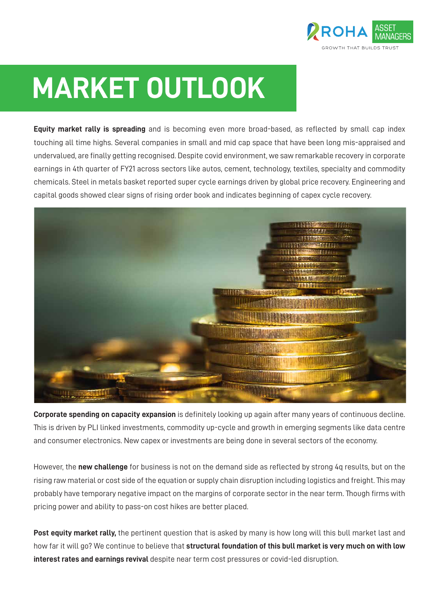

## **MARKET OUTLOOK**

**Equity market rally is spreading** and is becoming even more broad-based, as reflected by small cap index touching all time highs. Several companies in small and mid cap space that have been long mis-appraised and undervalued, are finally getting recognised. Despite covid environment, we saw remarkable recovery in corporate earnings in 4th quarter of FY21 across sectors like autos, cement, technology, textiles, specialty and commodity chemicals. Steel in metals basket reported super cycle earnings driven by global price recovery. Engineering and capital goods showed clear signs of rising order book and indicates beginning of capex cycle recovery.



**Corporate spending on capacity expansion** is definitely looking up again after many years of continuous decline. This is driven by PLI linked investments, commodity up-cycle and growth in emerging segments like data centre and consumer electronics. New capex or investments are being done in several sectors of the economy.

However, the **new challenge** for business is not on the demand side as reflected by strong 4q results, but on the rising raw material or cost side of the equation or supply chain disruption including logistics and freight. This may probably have temporary negative impact on the margins of corporate sector in the near term. Though firms with pricing power and ability to pass-on cost hikes are better placed.

**Post equity market rally,** the pertinent question that is asked by many is how long will this bull market last and how far it will go? We continue to believe that **structural foundation of this bull market is very much on with low interest rates and earnings revival** despite near term cost pressures or covid-led disruption.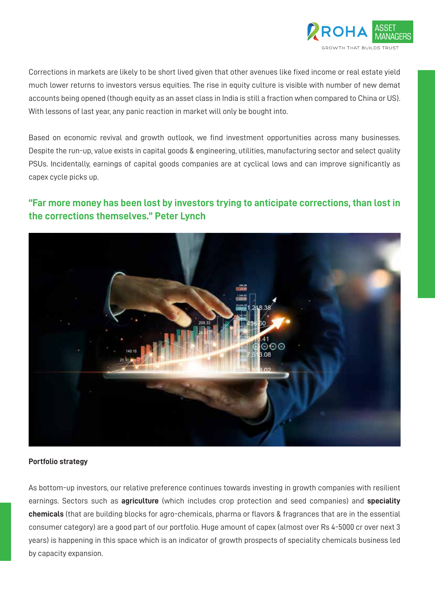

Corrections in markets are likely to be short lived given that other avenues like fixed income or real estate yield much lower returns to investors versus equities. The rise in equity culture is visible with number of new demat accounts being opened (though equity as an asset class in India is still a fraction when compared to China or US). With lessons of last year, any panic reaction in market will only be bought into.

Based on economic revival and growth outlook, we find investment opportunities across many businesses. Despite the run-up, value exists in capital goods & engineering, utilities, manufacturing sector and select quality PSUs. Incidentally, earnings of capital goods companies are at cyclical lows and can improve significantly as capex cycle picks up.

## **"Far more money has been lost by investors trying to anticipate corrections, than lost in the corrections themselves." Peter Lynch**



## **Portfolio strategy**

As bottom-up investors, our relative preference continues towards investing in growth companies with resilient earnings. Sectors such as **agriculture** (which includes crop protection and seed companies) and **speciality chemicals** (that are building blocks for agro-chemicals, pharma or flavors & fragrances that are in the essential consumer category) are a good part of our portfolio. Huge amount of capex (almost over Rs 4-5000 cr over next 3 years) is happening in this space which is an indicator of growth prospects of speciality chemicals business led by capacity expansion.